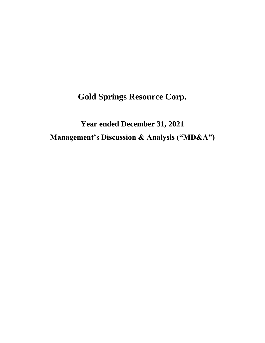**Gold Springs Resource Corp.**

**Year ended December 31, 2021 Management's Discussion & Analysis ("MD&A")**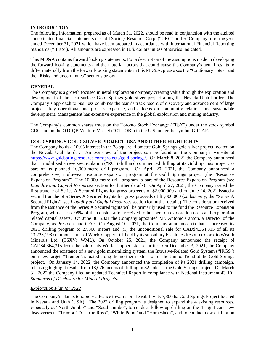# **INTRODUCTION**

The following information, prepared as of March 31, 2022, should be read in conjunction with the audited consolidated financial statements of Gold Springs Resource Corp. ("GRC" or the "Company") for the year ended December 31, 2021 which have been prepared in accordance with International Financial Reporting Standards ("IFRS"). All amounts are expressed in U.S. dollars unless otherwise indicated.

This MD&A contains forward looking statements. For a description of the assumptions made in developing the forward-looking statements and the material factors that could cause the Company's actual results to differ materially from the forward-looking statements in this MD&A, please see the "Cautionary notes" and the "Risks and uncertainties" sections below.

## **GENERAL**

The Company is a growth focused mineral exploration company creating value through the exploration and development of the near-surface Gold Springs gold-silver project along the Nevada-Utah border. The Company's approach to business combines the team's track record of discovery and advancement of large projects, key operational and process expertise, and a focus on community relations and sustainable development. Management has extensive experience in the global exploration and mining industry.

The Company's common shares trade on the Toronto Stock Exchange ("TSX") under the stock symbol GRC and on the OTCQB Venture Market ("OTCQB") in the U.S. under the symbol GRCAF.

# **GOLD SPRINGS GOLD-SILVER PROJECT, USA AND OTHER HIGHLIGHTS**

The Company holds a 100% interest in the 78 square kilometre Gold Springs gold-silver project located on the Nevada-Utah border. An overview of the project can be found on the Company's website at [https://www.goldspringsresource.com/projects/gold-springs/.](https://www.goldspringsresource.com/projects/gold-springs/) On March 8, 2021 the Company announced that it mobilized a reverse-circulation ("RC") drill and commenced drilling at its Gold Springs project, as part of its planned 10,000-metre drill program. On April 20, 2021, the Company announced a comprehensive, multi-year resource expansion program at the Gold Springs project (the "Resource Expansion Program"). The 10,000-metre drill program is part of the Resource Expansion Program (see *Liquidity and Capital Resources* section for further details). On April 27, 2021, the Company issued the first tranche of Series A Secured Rights for gross proceeds of \$2,000,000 and on June 24, 2021 issued a second tranche of a Series A Secured Rights for gross proceeds of \$1,000,000 (collectively, the "Series A Secured Rights", see *Liquidity and Capital Resources* section for further details). The consideration received from the issuance of the Series A Secured rights will be primarily used to the fund the Resource Expansion Program, with at least 95% of the consideration received to be spent on exploration costs and exploration related capital assets. On June 30, 2021 the Company appointed Mr. Antonio Canton, a Director of the Company, as President and CEO. On August 10, 2021, the Company announced (i) that it increased its 2021 drilling program to 27,300 meters and (ii) the unconditional sale for CAD\$4,364,315 of all its 13,225,198 common shares of World Copper Ltd. held by its subsidiary Escalones Resource Corp. to Wealth Minerals Ltd. (TSXV: WML). On October 25, 2021, the Company announced the receipt of CAD\$4,364,315 from the sale of its World Copper Ltd. securities. On December 3, 2021, the Company announced the existence of a new gold mineralizing system, the Intrusive-Related Gold System ("IRGS") on a new target, "Tremor", situated along the northern extension of the Jumbo Trend at the Gold Springs project. On January 14, 2022, the Company announced the completion of its 2021 drilling campaign, releasing highlight results from 18,076 meters of drilling in 82 holes at the Gold Springs project. On March 31, 2022 the Company filed an updated Technical Report in compliance with National Instrument 43-101 *Standards of Disclosure for Mineral Projects*.

## *Exploration Plan for 2022*

The Company's plan is to rapidly advance towards pre-feasibility its 7,800 ha Gold Springs Project located in Nevada and Utah (USA). The 2022 drilling program is designed to expand the 4 existing resources, especially at "North Jumbo" and "South Jumbo", to conduct follow up drilling on the 4 significant new discoveries at "Tremor", "Charlie Ross", "White Point" and "Homestake", and to conduct new drilling on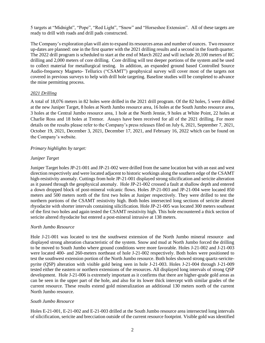5 targets at "Midnight", "Pope", "Red Light", "Snow" and "Horseshoe Extension". All of these targets are ready to drill with roads and drill pads constructed.

The Company's exploration plan will aim to expand its resources areas and number of ounces. Two resource up-dates are planned: one in the first quarter with the 2021 drilling results and a second in the fourth quarter. The 2022 drill program is scheduled to start at the end of March 2022 and will include 20,100 meters of RC drilling and 2,000 meters of core drilling. Core drilling will test deeper portions of the system and be used to collect material for metallurgical testing. In addition, an expanded ground based Controlled Source Audio-frequency Magneto- Tellurics ("CSAMT") geophysical survey will cover most of the targets not covered in previous surveys to help with drill hole targeting. Baseline studies will be completed to advance the mine permitting process.

# *2021 Drilling*

A total of 18,076 meters in 82 holes were drilled in the 2021 drill program. Of the 82 holes, 5 were drilled at the new Juniper Target, 8 holes at North Jumbo resource area, 16 holes at the South Jumbo resource area, 3 holes at the Central Jumbo resource area, 1 hole at the North Jennie, 9 holes at White Point, 22 holes at Charlie Ross and 18 holes at Tremor. Assays have been received for all of the 2021 drilling. For more details on the results please refer to the Company's press releases filed on July 6, 2021, September 7, 2021, October 19, 2021, December 3, 2021, December 17, 2021, and February 16, 2022 which can be found on the Company's website.

# *Primary highlights by target:*

# *Juniper Target*

Juniper Target holes JP-21-001 and JP-21-002 were drilled from the same location but with an east and west direction respectively and were located adjacent to historic workings along the southern edge of the CSAMT high-resistivity anomaly. Cuttings from hole JP-21-001 displayed strong silicification and sericite alteration as it passed through the geophysical anomaly. Hole JP-21-002 crossed a fault at shallow depth and entered a down dropped block of post-mineral volcanic flows. Holes JP-21-003 and JP-21-004 were located 850 meters and 500 meters north of the first two holes at Juniper respectively. They were drilled to test the northern portions of the CSAMT resistivity high. Both holes intersected long sections of sericite altered rhyodacite with shorter intervals containing silicification. Hole JP-21-005 was located 300 meters southeast of the first two holes and again tested the CSAMT resistivity high. This hole encountered a thick section of sericite altered rhyodacite but entered a post-mineral intrusive at 138 meters.

## *North Jumbo Resource*

Hole J-21-001 was located to test the southwest extension of the North Jumbo mineral resource and displayed strong alteration characteristic of the system. Snow and mud at North Jumbo forced the drilling to be moved to South Jumbo where ground conditions were more favorable. Holes J-21-002 and J-21-003 were located 400- and 260-meters northeast of hole J-21-002 respectively. Both holes were positioned to test the southwest extension portion of the North Jumbo resource. Both holes showed strong quartz-sericitepyrite (QSP) alteration with visible gold being seen in hole J-21-003. Holes J-21-004 through J-21-009 tested either the eastern or northern extensions of the resources. All displayed long intervals of strong QSP development. Hole J-21-006 is extremely important as it confirms that there are higher-grade gold areas as can be seen in the upper part of the hole, and also for its lower thick intercept with similar grades of the current resource. These results extend gold mineralization an additional 130 meters north of the current North Jumbo resource.

# *South Jumbo Resource*

Holes E-21-001, E-21-002 and E-21-003 drilled at the South Jumbo resource area intersected long intervals of silicification, sericite and brecciation outside of the current resource footprint. Visible gold was identified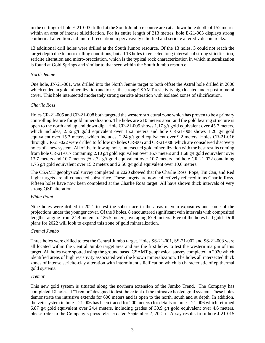in the cuttings of hole E-21-003 drilled at the South Jumbo resource area at a down-hole depth of 152 metres within an area of intense silicification. For its entire length of 213 metres, hole E-21-003 displays strong epithermal alteration and micro-brecciation in pervasively silicified and sericite altered volcanic rocks.

13 additional drill holes were drilled at the South Jumbo resource. Of the 13 holes, 3 could not reach the target depth due to poor drilling conditions, but all 13 holes intersected long intervals of strong silicification, sericite alteration and micro-brecciation, which is the typical rock characterization in which mineralization is found at Gold Springs and similar to that seen within the South Jumbo resource.

## *North Jennie*

One hole, JN-21-001, was drilled into the North Jennie target to both offset the Astral hole drilled in 2006 which ended in gold mineralization and to test the strong CSAMT resistivity high located under post-mineral cover. This hole intersected moderately strong sericite alteration with isolated zones of silicification.

#### *Charlie Ross*

Holes CR-21-005 and CR-21-008 both targeted the western structural zone which has proven to be a primary controlling feature for gold mineralization. The holes are 210 meters apart and the gold bearing structure is open to the north and up and down dip. Hole CR-21-005 shows 1.17 g/t gold equivalent over 45.7 meters, which includes, 2.56 g/t gold equivalent over 15.2 meters and hole CR-21-008 shows 1.26 g/t gold equivalent over 15.3 meters, which includes, 2.24 g/t gold equivalent over 9.2 meters. Holes CR-21-016 through CR-21-022 were drilled to follow up holes CR-005 and CR-21-008 which are considered discovery holes of a new system. All of the follow up holes intersected gold mineralization with the best results coming from hole CR-21-017 containing 2.10 g/t gold equivalent over 16.7 meters and 1.68 g/t gold equivalent over 13.7 meters and 10.7 meters @ 2.32 g/t gold equivalent over 10.7 meters and hole CR-21-022 containing 1.75 g/t gold equivalent over 15.2 meters and 2.56 g/t gold equivalent over 10.6 meters.

The CSAMT geophysical survey completed in 2020 showed that the Charlie Ross, Pope, Tin Can, and Red Light targets are all connected subsurface. These targets are now collectively referred to as Charlie Ross. Fifteen holes have now been completed at the Charlie Ross target. All have shown thick intervals of very strong QSP alteration.

## *White Point*

Nine holes were drilled in 2021 to test the subsurface in the areas of vein exposures and some of the projections under the younger cover. Of the 9 holes, 8 encountered significant vein intervals with composited lengths ranging from 24.4 meters to 126.5 meters, averaging 67.4 meters. Five of the holes had gold Drill plans for 2022 will look to expand this zone of gold mineralization.

## *Central Jumbo*

Three holes were drilled to test the Central Jumbo target. Holes SS-21-001, SS-21-002 and SS-21-003 were all located within the Central Jumbo target area and are the first holes to test the western margin of this target. All holes were spotted using the ground based CSAMT geophysical survey completed in 2020 which identified areas of high resistivity associated with the known mineralization. The holes all intersected thick zones of intense sericite-clay alteration with intermittent silicification which is characteristic of epithermal gold systems.

## *Tremor*

This new gold system is situated along the northern extension of the Jumbo Trend. The Company has completed 18 holes at "Tremor" designed to test the extent of the intrusive hosted gold system. These holes demonstrate the intrusive extends for 600 meters and is open to the north, south and at depth. In addition, the vein system in hole J-21-006 has been traced for 200 meters (for details on hole J-21-006 which returned 6.87 g/t gold equivalent over 24.4 meters, including grades of 30.9 g/t gold equivalent over 4.6 meters, please refer to the Company's press release dated September 7, 2021). Assay results from hole J-21-015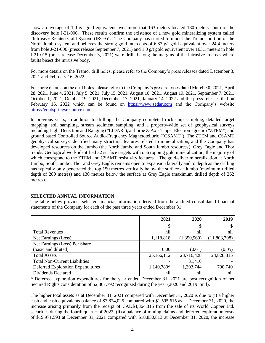show an average of 1.0 g/t gold equivalent over more that 163 meters located 180 meters south of the discovery hole J-21-006. These results confirm the existence of a new gold mineralizing system called "Intrusive-Related Gold System (IRGS)". The Company has started to model the Tremor portion of the North Jumbo system and believes the strong gold intercepts of 6.87  $g/t$  gold equivalent over 24.4 meters from hole J-21-006 (press release September 7, 2021) and 1.0 g/t gold equivalent over 163.1 meters in hole J-21-015 (press release December 3, 2021) were drilled along the margins of the intrusive in areas where faults bisect the intrusive body.

For more details on the Tremor drill holes, please refer to the Company's press releases dated December 3, 2021 and February 16, 2022.

For more details on the drill holes, please refer to the Company's press releases dated March 30, 2021, April 28, 2021, June 4, 2021, July 5, 2021, July 15, 2021, August 10, 2021, August 19, 2021, September 7, 2021, October 1, 2021, October 19, 2021, December 17, 2021, January 14, 2022 and the press release filed on February 16, 2022 which can be found on [https://www.sedar.com](https://www.sedar.com/) and the Company's website [https://goldspringsresource.com.](https://goldspringsresource.com/)

In previous years, in addition to drilling, the Company completed rock chip sampling, detailed target mapping, soil sampling, stream sediment sampling, and a property-wide set of geophysical surveys including Light Detection and Ranging ("LIDAR"), airborne Z-Axis Tipper Electromagnetic ("ZTEM") and ground based Controlled Source Audio-Frequency Magnetotelluric ("CSAMT"). The ZTEM and CSAMT geophysical surveys identified many structural features related to mineralization, and the Company has developed resources on the Jumbo (the North Jumbo and South Jumbo resources), Grey Eagle and Thor trends. Geological work identified 32 surface targets with outcropping gold mineralization, the majority of which correspond to the ZTEM and CSAMT resistivity features. The gold-silver mineralization at North Jumbo, South Jumbo, Thor and Grey Eagle, remains open to expansion laterally and to depth as the drilling has typically only penetrated the top 150 metres vertically below the surface at Jumbo (maximum drilled depth of 280 metres) and 130 metres below the surface at Grey Eagle (maximum drilled depth of 262 metres).

## **SELECTED ANNUAL INFORMATION**

The table below provides selected financial information derived from the audited consolidated financial statements of the Company for each of the past three years ended December 31.

|                                      | 2021       | 2020        | 2019         |
|--------------------------------------|------------|-------------|--------------|
|                                      | \$         | \$          |              |
| <b>Total Revenues</b>                | nil        | nil         | nil          |
| Net Earnings (Loss)                  | 1,118,818  | (1,350,960) | (11,803,798) |
| Net Earnings (Loss) Per Share        |            |             |              |
| (basic and diluted)                  | 0.00       | (0.01)      | (0.05)       |
| <b>Total Assets</b>                  | 25,166,112 | 23,716,428  | 24,828,815   |
| <b>Total Non-Current Liabilities</b> |            | 31,416      |              |
| Deferred Exploration Expenditures    | 1,140,780* | 1,303,744   | 790,740      |
| Dividends Declared                   | nil        | nil         | nil          |

\* Deferred exploration expenditures for the year ended December 31, 2021 are post recognition of net Secured Rights consideration of \$2,367,792 recognized during the year (2020 and 2019: \$nil).

The higher total assets as at December 31, 2021 compared with December 31, 2020 is due to (i) a higher cash and cash equivalents balance of \$3,824,025 compared with \$1,595,615 as at December 31, 2020, the increase arising primarily from the receipt of CAD\$4,364,315 from the sale of its World Copper Ltd. securities during the fourth quarter of 2022, (ii) a balance of mining claims and deferred exploration costs of \$19,971,593 at December 31, 2021 compared with \$18,830,813 at December 31, 2020, the increase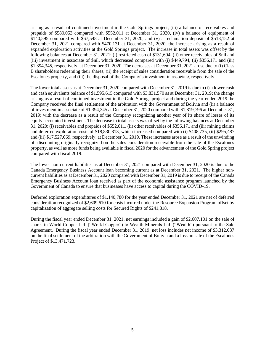arising as a result of continued investment in the Gold Springs project, (iii) a balance of receivables and prepaids of \$580,053 compared with \$552,011 at December 31, 2020, (iv) a balance of equipment of  $$140,595$  compared with  $$67,548$  at December 31, 2020, and (v) a reclamation deposit of  $$518,152$  at December 31, 2021 compared with \$470,131 at December 31, 2020, the increase arising as a result of expanded exploration activities at the Gold Springs project. The increase in total assets was offset by the following balances at December 31, 2021: (i) restricted cash of \$131,694, (ii) other receivables of \$nil and (iii) investment in associate of \$nil, which decreased compared with (i) \$449,794, (ii) \$356,171 and (iii) \$1,394,345, respectively, at December 31, 2020. The decreases at December 31, 2021 arose due to (i) Class B shareholders redeeming their shares, (ii) the receipt of sales consideration receivable from the sale of the Escalones property, and (iii) the disposal of the Company's investment in associate, respectively.

The lower total assets as at December 31, 2020 compared with December 31, 2019 is due to (i) a lower cash and cash equivalents balance of \$1,595,615 compared with \$3,831,570 as at December 31, 2019; the change arising as a result of continued investment in the Gold Springs project and during the year-ended 2019 the Company received the final settlement of the arbitration with the Government of Bolivia and (ii) a balance of investment in associate of \$1,394,345 at December 31, 2020 compared with \$1,819,796 at December 31, 2019; with the decrease as a result of the Company recognizing another year of its share of losses of its equity accounted investment. The decrease in total assets was offset by the following balances at December 31, 2020: (i) receivables and prepaids of \$552,011, (ii) other receivables of \$356,171 and (iii) mining claims and deferred exploration costs of \$18,830,813, which increased compared with (i) \$408,735, (ii) \$295,487 and (iii) \$17,527,069, respectively, at December 31, 2019. These increases arose as a result of the unwinding of discounting originally recognized on the sales consideration receivable from the sale of the Escalones property, as well as more funds being available in fiscal 2020 for the advancement of the Gold Spring project compared with fiscal 2019.

The lower non-current liabilities as at December 31, 2021 compared with December 31, 2020 is due to the Canada Emergency Business Account loan becoming current as at December 31, 2021. The higher noncurrent liabilities as at December 31, 2020 compared with December 31, 2019 is due to receipt of the Canada Emergency Business Account loan received as part of the economic assistance program launched by the Government of Canada to ensure that businesses have access to capital during the COVID-19.

Deferred exploration expenditures of \$1,140,780 for the year ended December 31, 2021 are net of deferred consideration recognized of \$2,609,610 for costs incurred under the Resource Expansion Program offset by capitalization of aggregate selling costs for Secured Rights of \$241,818.

During the fiscal year ended December 31, 2021, net earnings included a gain of \$2,607,101 on the sale of shares in World Copper Ltd. ("World Copper") to Wealth Minerals Ltd. ("Wealth") pursuant to the Sale Agreement. During the fiscal year ended December 31, 2019, net loss includes net income of \$3,312,037 on the final settlement of the arbitration with the Government of Bolivia and a loss on sale of the Escalones Project of \$13,471,723.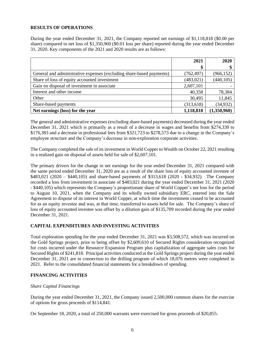# **RESULTS OF OPERATIONS**

During the year ended December 31, 2021, the Company reported net earnings of \$1,118,818 (\$0.00 per share) compared to net loss of \$1,350,960 (\$0.01 loss per share) reported during the year ended December 31, 2020. Key components of the 2021 and 2020 results are as follows:

|                                                                      | 2021       | 2020        |
|----------------------------------------------------------------------|------------|-------------|
|                                                                      | \$         |             |
| General and administrative expenses (excluding share-based payments) | (762, 497) | (966, 152)  |
| Share of loss of equity accounted investment                         | (483, 021) | (440, 105)  |
| Gain on disposal of investment in associate                          | 2,607,101  |             |
| Interest and other income                                            | 40,358     | 78,384      |
| Other                                                                | 30,495     | 11,845      |
| Share-based payments                                                 | (313, 618) | (34, 932)   |
| Net earnings (loss) for the year                                     | 1,118,818  | (1,350,960) |

The general and administrative expenses (excluding share-based payments) decreased during the year ended December 31, 2021 which is primarily as a result of a decrease in wages and benefits from \$274,339 to \$176,383 and a decrease in professional fees from \$321,723 to \$278,573 due to a change in the Company's employee structure and the Company's decrease in non-exploration corporate activities.

The Company completed the sale of its investment in World Copper to Wealth on October 22, 2021 resulting in a realized gain on disposal of assets held for sale of \$2,607,101.

The primary drivers for the change in net earnings for the year ended December 31, 2021 compared with the same period ended December 31, 2020 are as a result of the share loss of equity accounted investee of \$483,021 (2020 – \$440,105) and share-based payments of \$313,618 (2020 - \$34,932). The Company recorded a loss from investment in associate of \$483,021 during the year ended December 31, 2021 (2020 - \$440,105) which represents the Company's proportionate share of World Copper's net loss for the period to August 10, 2021, when the Company and its wholly owned subsidiary ERC, entered into the Sale Agreement to dispose of its interest in World Copper, at which time the investment ceased to be accounted for as an equity investee and was, at that time, transferred to assets held for sale. The Company's share of loss of equity accounted investee was offset by a dilution gain of \$135,709 recorded during the year ended December 31, 2021.

## **CAPITAL EXPENDITURES AND INVESTING ACTIVITIES**

Total exploration spending for the year ended December 31, 2021 was \$3,508,572, which was incurred on the Gold Springs project, prior to being offset by \$2,609,610 of Secured Rights consideration recognized for costs incurred under the Resource Expansion Program plus capitalization of aggregate sales costs for Secured Rights of \$241,818. Principal activities conducted at the Gold Springs project during the year ended December 31, 2021 are in connection to the drilling program of which 18,076 metres were completed in 2021. Refer to the consolidated financial statements for a breakdown of spending.

# **FINANCING ACTIVITIES**

## *Share Capital Financings*

During the year ended December 31, 2021, the Company issued 2,500,000 common shares for the exercise of options for gross proceeds of \$114,841.

On September 18, 2020, a total of 250,000 warrants were exercised for gross proceeds of \$20,855.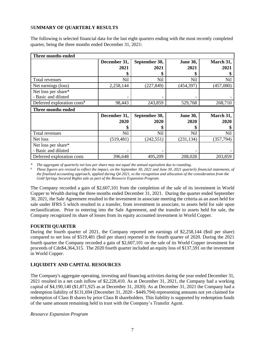# S**UMMARY OF QUARTERLY RESULTS**

The following is selected financial data for the last eight quarters ending with the most recently completed quarter, being the three months ended December 31, 2021:

| Three months ended                        |              |               |                 |            |  |
|-------------------------------------------|--------------|---------------|-----------------|------------|--|
|                                           | December 31, | September 30, | <b>June 30,</b> | March 31,  |  |
|                                           | 2021         | 2021          | 2021            | 2021       |  |
|                                           |              | \$            |                 |            |  |
| Total revenues                            | Nil          | <b>Nil</b>    | Nil             | Nil        |  |
| Net earnings (loss)                       | 2,258,144    | (227, 849)    | (454, 397)      | (457,080)  |  |
| Net loss per share*                       |              |               |                 |            |  |
| - Basic and diluted                       |              |               |                 |            |  |
| Deferred exploration $costs$ <sup>#</sup> | 98,443       | 243,859       | 529,768         | 268,710    |  |
|                                           |              |               |                 |            |  |
| Three months ended                        |              |               |                 |            |  |
|                                           | December 31, | September 30, | <b>June 30,</b> | March 31,  |  |
|                                           | 2020         | 2020          | 2020            | 2020       |  |
|                                           |              | \$            | S               |            |  |
| Total revenues                            | Nil          | Nil           | Nil             | Nil        |  |
| Net loss                                  | (519, 481)   | (242, 551)    | (231, 134)      | (357, 794) |  |
| Net loss per share*                       |              |               |                 |            |  |
| - Basic and diluted                       |              |               |                 |            |  |

*\* The aggregate of quarterly net loss per share may not equal the annual equivalent due to rounding.*

*# These figures are revised to reflect the impact, on the September 30, 2021 and June 30, 2021 quarterly financial statements, of the finalized accounting approach, applied during Q4 2021, to the recognition and allocation of the consideration from the Gold Springs Secured Rights sale as part of the Resource Expansion Program.*

The Company recorded a gain of \$2,607,101 from the completion of the sale of its investment in World Copper to Wealth during the three months ended December 31, 2021. During the quarter ended September 30, 2021, the Sale Agreement resulted in the investment in associate meeting the criteria as an asset held for sale under IFRS 5 which resulted in a transfer, from investment in associate, to assets held for sale upon reclassification. Prior to entering into the Sale Agreement, and the transfer to assets held for sale, the Company recognized its share of losses from its equity accounted investment in World Copper.

# **FOURTH QUARTER**

During the fourth quarter of 2021, the Company reported net earnings of \$2,258,144 (\$nil per share) compared to net loss of \$519,481 (\$nil per share) reported in the fourth quarter of 2020. During the 2021 fourth quarter the Company recorded a gain of \$2,607,101 on the sale of its World Copper investment for proceeds of Cdn\$4,364,315. The 2020 fourth quarter included an equity loss of \$137,591 on the investment in World Copper.

# **LIQUIDITY AND CAPITAL RESOURCES**

The Company's aggregate operating, investing and financing activities during the year ended December 31, 2021 resulted in a net cash inflow of \$2,228,410. As at December 31, 2021, the Company had a working capital of \$4,190,140 (\$1,871,925 as at December 31, 2020). As at December 31, 2021 the Company had a redemption liability of \$131,694 (December 31, 2020 - \$449,794) representing amounts not yet claimed for redemption of Class B shares by prior Class B shareholders. This liability is supported by redemption funds of the same amount remaining held in trust with the Company's Transfer Agent.

## *Resource Expansion Program*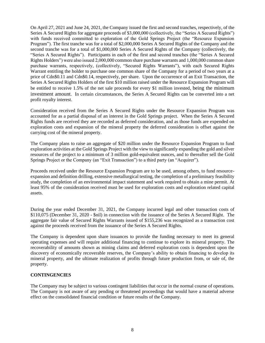On April 27, 2021 and June 24, 2021, the Company issued the first and second tranches, respectively, of the Series A Secured Rights for aggregate proceeds of \$3,000,000 (collectively, the "Series A Secured Rights") with funds received committed to exploration of the Gold Springs Project (the "Resource Expansion Program"). The first tranche was for a total of \$2,000,000 Series A Secured Rights of the Company and the second tranche was for a total of \$1,000,000 Series A Secured Rights of the Company (collectively, the "Series A Secured Rights"). Participants in each of the first and second tranches (the "Series A Secured Rights Holders") were also issued 2,000,000 common share purchase warrants and 1,000,000 common share purchase warrants, respectively, (collectively, "Secured Rights Warrants"), with each Secured Rights Warrant entitling the holder to purchase one common share of the Company for a period of two years at a price of Cdn\$0.11 and Cdn\$0.14, respectively, per share. Upon the occurrence of an Exit Transaction, the Series A Secured Rights Holders of the first \$10 million raised under the Resource Expansion Program will be entitled to receive 1.5% of the net sale proceeds for every \$1 million invested, being the minimum investment amount. In certain circumstances, the Series A Secured Rights can be converted into a net profit royalty interest.

Consideration received from the Series A Secured Rights under the Resource Expansion Program was accounted for as a partial disposal of an interest in the Gold Springs project. When the Series A Secured Rights funds are received they are recorded as deferred consideration, and as those funds are expended on exploration costs and expansion of the mineral property the deferred consideration is offset against the carrying cost of the mineral property.

The Company plans to raise an aggregate of \$20 million under the Resource Expansion Program to fund exploration activities at the Gold Springs Project with the view to significantly expanding the gold and silver resources of the project to a minimum of 3 million gold-equivalent ounces, and to thereafter sell the Gold Springs Project or the Company (an "Exit Transaction") to a third party (an "Acquirer").

Proceeds received under the Resource Expansion Program are to be used, among others, to fund resourceexpansion and definition drilling, extensive metallurgical testing, the completion of a preliminary feasibility study, the completion of an environmental impact statement and work required to obtain a mine permit. At least 95% of the consideration received must be used for exploration costs and exploration related capital assets.

During the year ended December 31, 2021, the Company incurred legal and other transaction costs of \$110,075 (December 31, 2020 - \$nil) in connection with the issuance of the Series A Secured Right. The aggregate fair value of Secured Rights Warrants issued of \$155,236 was recognized as a transaction cost against the proceeds received from the issuance of the Series A Secured Rights.

The Company is dependent upon share issuances to provide the funding necessary to meet its general operating expenses and will require additional financing to continue to explore its mineral property. The recoverability of amounts shown as mining claims and deferred exploration costs is dependent upon the discovery of economically recoverable reserves, the Company's ability to obtain financing to develop its mineral property, and the ultimate realization of profits through future production from, or sale of, the property.

## **CONTINGENCIES**

The Company may be subject to various contingent liabilities that occur in the normal course of operations. The Company is not aware of any pending or threatened proceedings that would have a material adverse effect on the consolidated financial condition or future results of the Company.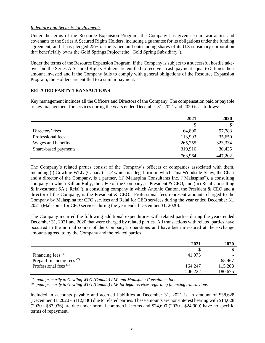## *Indenture and Security for Payments*

Under the terms of the Resource Expansion Program, the Company has given certain warranties and covenants to the Series A Secured Rights Holders, including a guarantee for its obligations under the funding agreement, and it has pledged 25% of the issued and outstanding shares of its U.S subsidiary corporation that beneficially owns the Gold Springs Project (the "Gold Spring Subsidiary").

Under the terms of the Resource Expansion Program, if the Company is subject to a successful hostile takeover bid the Series A Secured Rights Holders are entitled to receive a cash payment equal to 5 times their amount invested and if the Company fails to comply with general obligations of the Resource Expansion Program, the Holders are entitled to a similar payment.

# **RELATED PARTY TRANSACTIONS**

Key management includes all the Officers and Directors of the Company. The compensation paid or payable to key management for services during the years ended December 31, 2021 and 2020 is as follows:

|                      | 2021    | 2020    |
|----------------------|---------|---------|
|                      | \$      | \$      |
| Directors' fees      | 64,800  | 57,783  |
| Professional fees    | 113,993 | 35,650  |
| Wages and benefits   | 265,255 | 323,334 |
| Share-based payments | 319,916 | 30,435  |
|                      | 763,964 | 447,202 |

The Company's related parties consist of the Company's officers or companies associated with them, including (i) Gowling WLG (Canada) LLP which is a legal firm in which Tina Woodside-Shaw, the Chair and a director of the Company, is a partner, (ii) Malaspina Consultants Inc. ("Malaspina"), a consulting company in which Killian Ruby, the CFO of the Company, is President & CEO, and (iii) Reial Consulting & Investment SA ("Reial"), a consulting company in which Antonio Canton, the President & CEO and a director of the Company, is the President & CEO. Professional fees represent amounts charged to the Company by Malaspina for CFO services and Reial for CEO services during the year ended December 31, 2021 (Malaspina for CFO services during the year ended December 31, 2020).

The Company incurred the following additional expenditures with related parties during the years ended December 31, 2021 and 2020 that were charged by related parties. All transactions with related parties have occurred in the normal course of the Company's operations and have been measured at the exchange amounts agreed to by the Company and the related parties.

|                                  | 2021    | 2020    |
|----------------------------------|---------|---------|
|                                  |         | ง       |
| Financing fees $(2)$             | 41,975  |         |
| Prepaid financing fees (2)       |         | 65,467  |
| Professional fees <sup>(1)</sup> | 164,247 | 115,208 |
|                                  | 206,222 | 180,675 |

*(1) paid primarily to Gowling WLG (Canada) LLP and Malaspina Consultants Inc.* 

*(2) paid primarily to Gowling WLG (Canada) LLP for legal services regarding financing transactions.*

Included in accounts payable and accrued liabilities at December 31, 2021 is an amount of \$38,628 (December 31, 2020 - \$112,836) due to related parties. These amounts are non-interest bearing with \$14,028 (2020 - \$87,936) are due under normal commercial terms and \$24,600 (2020 - \$24,900) have no specific terms of repayment.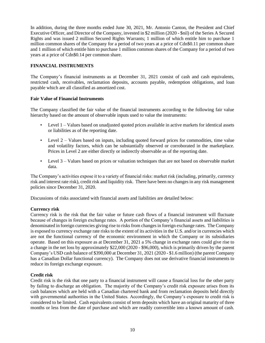In addition, during the three months ended June 30, 2021, Mr. Antonio Canton, the President and Chief Executive Officer, and Director of the Company, invested in \$2 million (2020 - \$nil) of the Series A Secured Rights and was issued 2 million Secured Rights Warrants; 1 million of which entitle him to purchase 1 million common shares of the Company for a period of two years at a price of Cdn\$0.11 per common share and 1 million of which entitle him to purchase 1 million common shares of the Company for a period of two years at a price of Cdn\$0.14 per common share.

## **FINANCIAL INSTRUMENTS**

The Company's financial instruments as at December 31, 2021 consist of cash and cash equivalents, restricted cash, receivables, reclamation deposits, accounts payable, redemption obligations, and loan payable which are all classified as amortized cost.

# **Fair Value of Financial Instruments**

The Company classified the fair value of the financial instruments according to the following fair value hierarchy based on the amount of observable inputs used to value the instruments:

- Level 1 Values based on unadjusted quoted prices available in active markets for identical assets or liabilities as of the reporting date.
- Level 2 Values based on inputs, including quoted forward prices for commodities, time value and volatility factors, which can be substantially observed or corroborated in the marketplace. Prices in Level 2 are either directly or indirectly observable as of the reporting date.
- Level 3 Values based on prices or valuation techniques that are not based on observable market data.

The Company's activities expose it to a variety of financial risks: market risk (including, primarily, currency risk and interest rate risk), credit risk and liquidity risk. There have been no changes in any risk management policies since December 31, 2020.

Discussions of risks associated with financial assets and liabilities are detailed below:

## **Currency risk**

Currency risk is the risk that the fair value or future cash flows of a financial instrument will fluctuate because of changes in foreign exchange rates. A portion of the Company's financial assets and liabilities is denominated in foreign currencies giving rise to risks from changes in foreign exchange rates. The Company is exposed to currency exchange rate risks to the extent of its activities in the U.S. and/or in currencies which are not the functional currency of the economic environment in which the Company or its subsidiaries operate. Based on this exposure as at December 31, 2021 a 5% change in exchange rates could give rise to a change in the net loss by approximately \$22,000 (2020 - \$96,000), which is primarily driven by the parent Company's USD cash balance of \$390,000 at December 31, 2021 (2020 - \$1.6 million) (the parent Company has a Canadian Dollar functional currency). The Company does not use derivative financial instruments to reduce its foreign exchange exposure.

# **Credit risk**

Credit risk is the risk that one party to a financial instrument will cause a financial loss for the other party by failing to discharge an obligation. The majority of the Company's credit risk exposure arises from its cash balances which are held with a Canadian chartered bank and from reclamation deposits held directly with governmental authorities in the United States. Accordingly, the Company's exposure to credit risk is considered to be limited. Cash equivalents consist of term deposits which have an original maturity of three months or less from the date of purchase and which are readily convertible into a known amount of cash.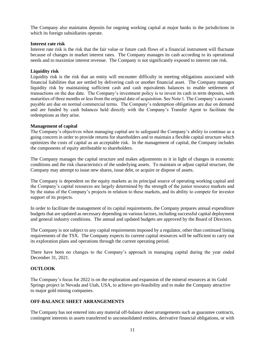The Company also maintains deposits for ongoing working capital at major banks in the jurisdictions in which its foreign subsidiaries operate.

### **Interest rate risk**

Interest rate risk is the risk that the fair value or future cash flows of a financial instrument will fluctuate because of changes in market interest rates. The Company manages its cash according to its operational needs and to maximize interest revenue. The Company is not significantly exposed to interest rate risk.

### **Liquidity risk**

Liquidity risk is the risk that an entity will encounter difficulty in meeting obligations associated with financial liabilities that are settled by delivering cash or another financial asset. The Company manages liquidity risk by maintaining sufficient cash and cash equivalents balances to enable settlement of transactions on the due date. The Company's investment policy is to invest its cash in term deposits, with maturities of three months or less from the original date of acquisition. See Note 1. The Company's accounts payable are due on normal commercial terms. The Company's redemption obligations are due on demand and are funded by cash balances held directly with the Company's Transfer Agent to facilitate the redemptions as they arise.

#### **Management of capital**

The Company's objectives when managing capital are to safeguard the Company's ability to continue as a going concern in order to provide returns for shareholders and to maintain a flexible capital structure which optimizes the costs of capital as an acceptable risk. In the management of capital, the Company includes the components of equity attributable to shareholders.

The Company manages the capital structure and makes adjustments to it in light of changes in economic conditions and the risk characteristics of the underlying assets. To maintain or adjust capital structure, the Company may attempt to issue new shares, issue debt, or acquire or dispose of assets.

The Company is dependent on the equity markets as its principal source of operating working capital and the Company's capital resources are largely determined by the strength of the junior resource markets and by the status of the Company's projects in relation to these markets, and its ability to compete for investor support of its projects.

In order to facilitate the management of its capital requirements, the Company prepares annual expenditure budgets that are updated as necessary depending on various factors, including successful capital deployment and general industry conditions. The annual and updated budgets are approved by the Board of Directors.

The Company is not subject to any capital requirements imposed by a regulator, other than continued listing requirements of the TSX. The Company expects its current capital resources will be sufficient to carry out its exploration plans and operations through the current operating period.

There have been no changes to the Company's approach in managing capital during the year ended December 31, 2021.

## **OUTLOOK**

The Company's focus for 2022 is on the exploration and expansion of the mineral resources at its Gold Springs project in Nevada and Utah, USA, to achieve pre-feasibility and to make the Company attractive to major gold mining companies.

## **OFF-BALANCE SHEET ARRANGEMENTS**

The Company has not entered into any material off-balance sheet arrangements such as guarantee contracts, contingent interests in assets transferred to unconsolidated entities, derivative financial obligations, or with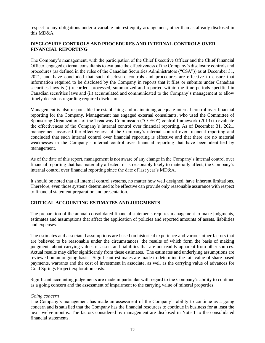respect to any obligations under a variable interest equity arrangement, other than as already disclosed in this MD&A.

# **DISCLOSURE CONTROLS AND PROCEDURES AND INTERNAL CONTROLS OVER FINANCIAL REPORTING**

The Company's management, with the participation of the Chief Executive Officer and the Chief Financial Officer, engaged external consultants to evaluate the effectiveness of the Company's disclosure controls and procedures (as defined in the rules of the Canadian Securities Administrators ("CSA")) as at December 31, 2021, and have concluded that such disclosure controls and procedures are effective to ensure that information required to be disclosed by the Company in reports that it files or submits under Canadian securities laws is (i) recorded, processed, summarized and reported within the time periods specified in Canadian securities laws and (ii) accumulated and communicated to the Company's management to allow timely decisions regarding required disclosure.

Management is also responsible for establishing and maintaining adequate internal control over financial reporting for the Company. Management has engaged external consultants, who used the Committee of Sponsoring Organizations of the Treadway Commission ("COSO") control framework (2013) to evaluate the effectiveness of the Company's internal control over financial reporting. As of December 31, 2021, management assessed the effectiveness of the Company's internal control over financial reporting and concluded that such internal control over financial reporting is effective and that there are no material weaknesses in the Company's internal control over financial reporting that have been identified by management.

As of the date of this report, management is not aware of any change in the Company's internal control over financial reporting that has materially affected, or is reasonably likely to materially affect, the Company's internal control over financial reporting since the date of last year's MD&A.

It should be noted that all internal control systems, no matter how well designed, have inherent limitations. Therefore, even those systems determined to be effective can provide only reasonable assurance with respect to financial statement preparation and presentation.

# **CRITICAL ACCOUNTING ESTIMATES AND JUDGMENTS**

The preparation of the annual consolidated financial statements requires management to make judgments, estimates and assumptions that affect the application of policies and reported amounts of assets, liabilities and expenses.

The estimates and associated assumptions are based on historical experience and various other factors that are believed to be reasonable under the circumstances, the results of which form the basis of making judgments about carrying values of assets and liabilities that are not readily apparent from other sources. Actual results may differ significantly from these estimates. The estimates and underlying assumptions are reviewed on an ongoing basis. Significant estimates are made to determine the fair-value of share-based payments, warrants and the cost of investment in associate, as well as the carrying value of advances for Gold Springs Project exploration costs.

Significant accounting judgements are made in particular with regard to the Company's ability to continue as a going concern and the assessment of impairment to the carrying value of mineral properties.

## *Going concern*

The Company's management has made an assessment of the Company's ability to continue as a going concern and is satisfied that the Company has the financial resources to continue in business for at least the next twelve months. The factors considered by management are disclosed in Note 1 to the consolidated financial statements.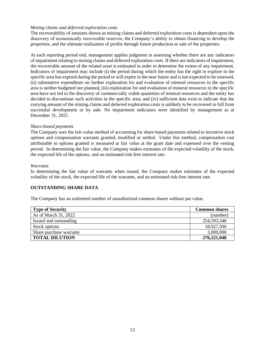# *Mining claims and deferred exploration costs*

The recoverability of amounts shown as mining claims and deferred exploration costs is dependent upon the discovery of economically recoverable reserves, the Company's ability to obtain financing to develop the properties, and the ultimate realization of profits through future production or sale of the properties.

At each reporting period end, management applies judgment in assessing whether there are any indicators of impairment relating to mining claims and deferred exploration costs. If there are indicators of impairment, the recoverable amount of the related asset is estimated in order to determine the extent of any impairment. Indicators of impairment may include (i) the period during which the entity has the right to explore in the specific area has expired during the period or will expire in the near future and is not expected to be renewed, (ii) substantive expenditure on further exploration for and evaluation of mineral resources in the specific area is neither budgeted nor planned, (iii) exploration for and evaluation of mineral resources in the specific area have not led to the discovery of commercially viable quantities of mineral resources and the entity has decided to discontinue such activities in the specific area; and (iv) sufficient data exist to indicate that the carrying amount of the mining claims and deferred exploration costs is unlikely to be recovered in full from successful development or by sale. No impairment indicators were identified by management as at December 31, 2021.

## *Share-based payments*

The Company uses the fair-value method of accounting for share-based payments related to incentive stock options and compensation warrants granted, modified or settled. Under this method, compensation cost attributable to options granted is measured at fair value at the grant date and expensed over the vesting period. In determining the fair value, the Company makes estimates of the expected volatility of the stock, the expected life of the options, and an estimated risk-free interest rate.

#### *Warrants*

In determining the fair value of warrants when issued, the Company makes estimates of the expected volatility of the stock, the expected life of the warrants, and an estimated risk-free interest rate.

## **OUTSTANDING SHARE DATA**

The Company has an unlimited number of unauthorized common shares without par value.

| <b>Type of Security</b> | <b>Common shares</b> |
|-------------------------|----------------------|
| As of March 31, 2022    | (number)             |
| Issued and outstanding  | 254,593,548          |
| Stock options           | 18,927,500           |
| Share purchase warrants | 3,000,000            |
| <b>TOTAL DILUTION</b>   | 276,521,048          |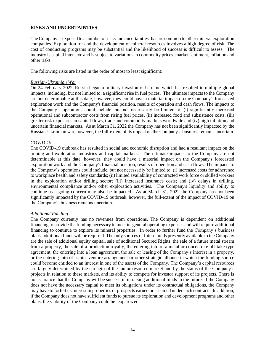# **RISKS AND UNCERTAINTIES**

The Company is exposed to a number of risks and uncertainties that are common to other mineral exploration companies. Exploration for and the development of mineral resources involves a high degree of risk. The cost of conducting programs may be substantial and the likelihood of success is difficult to assess. The industry is capital intensive and is subject to variations in commodity prices, market sentiment, inflation and other risks.

The following risks are listed in the order of most to least significant:

#### *Russian-Ukrainian War*

On 24 February 2022, Russia began a military invasion of Ukraine which has resulted in multiple global impacts, including, but not limited to, a significant rise in fuel prices. The ultimate impacts to the Company are not determinable at this date, however, they could have a material impact on the Company's forecasted exploration work and the Company's financial position, results of operation and cash flows. The impacts to the Company's operations could include, but not necessarily be limited to: (i) significantly increased operational and subcontractor costs from rising fuel prices, (ii) increased food and subsistence costs, (iii) greater risk exposures in capital flows, trade and commodity markets worldwide and (iv) high inflation and uncertain financial markets. As at March 31, 2022 the Company has not been significantly impacted by the Russian-Ukrainian war, however, the full-extent of its impact on the Company's business remains uncertain.

## *COVID-19*

The COVID-19 outbreak has resulted in social and economic disruption and had a resultant impact on the mining and exploration industries and capital markets. The ultimate impacts to the Company are not determinable at this date, however, they could have a material impact on the Company's forecasted exploration work and the Company's financial position, results of operation and cash flows. The impacts to the Company's operations could include, but not necessarily be limited to: (i) increased costs for adherence to workplace health and safety standards; (ii) limited availability of contracted work force or skilled workers in the exploration and/or drilling sector; (iii) increased insurance costs; and (iv) delays in drilling, environmental compliance and/or other exploration activities. The Company's liquidity and ability to continue as a going concern may also be impacted. As at March 31, 2022 the Company has not been significantly impacted by the COVID-19 outbreak, however, the full-extent of the impact of COVID-19 on the Company's business remains uncertain.

#### *Additional Funding*

The Company currently has no revenues from operations. The Company is dependent on additional financing to provide the funding necessary to meet its general operating expenses and will require additional financing to continue to explore its mineral properties. In order to further fund the Company's business plans, additional funds will be required. The only sources of future funds presently available to the Company are the sale of additional equity capital, sale of additional Secured Rights, the sale of a future metal stream from a property, the sale of a production royalty, the entering into of a metal or concentrate off-take type agreement, the entering into a loan agreement, the sale or leasing of the Company's interest in a property, or the entering into of a joint venture arrangement or other strategic alliance in which the funding source could become entitled to an interest in one of the assets of the Company. The Company's capital resources are largely determined by the strength of the junior resource market and by the status of the Company's projects in relation to these markets, and its ability to compete for investor support of its projects. There is no assurance that the Company will be successful in raising additional funds in the future. If the Company does not have the necessary capital to meet its obligations under its contractual obligations, the Company may have to forfeit its interest in properties or prospects earned or assumed under such contracts. In addition, if the Company does not have sufficient funds to pursue its exploration and development programs and other plans, the viability of the Company could be jeopardized.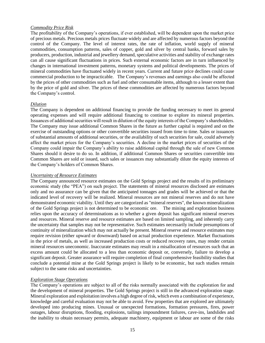## *Commodity Price Risk*

The profitability of the Company's operations, if ever established, will be dependent upon the market price of precious metals. Precious metals prices fluctuate widely and are affected by numerous factors beyond the control of the Company. The level of interest rates, the rate of inflation, world supply of mineral commodities, consumption patterns, sales of copper, gold and silver by central banks, forward sales by producers, production, industrial and jewellery demand, speculative activities and stability of exchange rates can all cause significant fluctuations in prices. Such external economic factors are in turn influenced by changes in international investment patterns, monetary systems and political developments. The prices of mineral commodities have fluctuated widely in recent years. Current and future price declines could cause commercial production to be impracticable. The Company's revenues and earnings also could be affected by the prices of other commodities such as fuel and other consumable items, although to a lesser extent than by the price of gold and silver. The prices of these commodities are affected by numerous factors beyond the Company's control.

# *Dilution*

The Company is dependent on additional financing to provide the funding necessary to meet its general operating expenses and will require additional financing to continue to explore its mineral properties. Issuances of additional securities will result in dilution of the equity interests of the Company's shareholders. The Company may issue additional Common Shares in the future as further capital is required and on the exercise of outstanding options or other convertible securities issued from time to time. Sales or issuances of substantial amounts of additional securities, or the availability of such securities for sale, could adversely affect the market prices for the Company's securities. A decline in the market prices of securities of the Company could impair the Company's ability to raise additional capital through the sale of new Common Shares should it desire to do so. In addition, if additional Common Shares or securities convertible into Common Shares are sold or issued, such sales or issuances may substantially dilute the equity interests of the Company's holders of Common Shares.

## *Uncertainty of Resource Estimates*

The Company announced resource estimates on the Gold Springs project and the results of its preliminary economic study (the "PEA") on such project. The statements of mineral resources disclosed are estimates only and no assurance can be given that the anticipated tonnages and grades will be achieved or that the indicated level of recovery will be realized. Mineral resources are not mineral reserves and do not have demonstrated economic viability. Until they are categorized as "mineral reserves", the known mineralization of the Gold Springs project is not determined to be economic ore. The mining and exploration business relies upon the accuracy of determinations as to whether a given deposit has significant mineral reserves and resources. Mineral reserve and resource estimates are based on limited sampling, and inherently carry the uncertainty that samples may not be representative. Such estimates necessarily include presumptions of continuity of mineralization which may not actually be present. Mineral reserve and resource estimates may require revision (either upward or downward) based on actual production experience. Market fluctuations in the price of metals, as well as increased production costs or reduced recovery rates, may render certain mineral resources uneconomic. Inaccurate estimates may result in a misallocation of resources such that an excess amount could be allocated to a less than economic deposit or, conversely, failure to develop a significant deposit. Greater assurance will require completion of final comprehensive feasibility studies that conclude a potential mine at the Gold Springs project is likely to be economic, but such studies remain subject to the same risks and uncertainties.

# *Exploration Stage Operations*

The Company's operations are subject to all of the risks normally associated with the exploration for and the development of mineral properties. The Gold Springs project is still in the advanced exploration stage. Mineral exploration and exploitation involves a high degree of risk, which even a combination of experience, knowledge and careful evaluation may not be able to avoid. Few properties that are explored are ultimately developed into producing mines. Unusual or unexpected formations, formation pressures, fires, power outages, labour disruptions, flooding, explosions, tailings impoundment failures, cave-ins, landslides and the inability to obtain necessary permits, adequate machinery, equipment or labour are some of the risks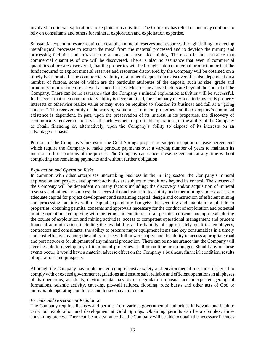involved in mineral exploration and exploitation activities. The Company has relied on and may continue to rely on consultants and others for mineral exploration and exploitation expertise.

Substantial expenditures are required to establish mineral reserves and resources through drilling, to develop metallurgical processes to extract the metal from the material processed and to develop the mining and processing facilities and infrastructure at any site chosen for mining. There can be no assurance that commercial quantities of ore will be discovered. There is also no assurance that even if commercial quantities of ore are discovered, that the properties will be brought into commercial production or that the funds required to exploit mineral reserves and resources discovered by the Company will be obtained on a timely basis or at all. The commercial viability of a mineral deposit once discovered is also dependent on a number of factors, some of which are the particular attributes of the deposit, such as size, grade and proximity to infrastructure, as well as metal prices. Most of the above factors are beyond the control of the Company. There can be no assurance that the Company's mineral exploration activities will be successful. In the event that such commercial viability is never attained, the Company may seek to transfer its property interests or otherwise realize value or may even be required to abandon its business and fail as a "going concern". The recoverability of the carrying value of its mineral properties and the Company's continued existence is dependent, in part, upon the preservation of its interest in its properties, the discovery of economically recoverable reserves, the achievement of profitable operations, or the ability of the Company to obtain financing or, alternatively, upon the Company's ability to dispose of its interests on an advantageous basis.

Portions of the Company's interest in the Gold Springs project are subject to option or lease agreements which require the Company to make periodic payments over a varying number of years to maintain its interest in those portions of the project. The Company can cancel these agreements at any time without completing the remaining payments and without further obligation.

#### *Exploration and Operation Risks*

In common with other enterprises undertaking business in the mining sector, the Company's mineral exploration and project development activities are subject to conditions beyond its control. The success of the Company will be dependent on many factors including: the discovery and/or acquisition of mineral reserves and mineral resources; the successful conclusions to feasibility and other mining studies; access to adequate capital for project development and sustaining capital; design and construction of efficient mining and processing facilities within capital expenditure budgets; the securing and maintaining of title to properties; obtaining permits, consents and approvals necessary for the conduct of exploration and potential mining operations; complying with the terms and conditions of all permits, consents and approvals during the course of exploration and mining activities; access to competent operational management and prudent financial administration, including the availability and reliability of appropriately qualified employees, contractors and consultants; the ability to procure major equipment items and key consumables in a timely and cost-effective manner; the ability to access full power supply; and the ability to access appropriate road and port networks for shipment of any mineral production. There can be no assurance that the Company will ever be able to develop any of its mineral properties at all or on time or on budget. Should any of these events occur, it would have a material adverse effect on the Company's business, financial condition, results of operations and prospects.

Although the Company has implemented comprehensive safety and environmental measures designed to comply with or exceed government regulations and ensure safe, reliable and efficient operations in all phases of its operations, accidents, environmental hazards or degradation, unusual and unexpected geological formations, seismic activity, cave-ins, pit-wall failures, flooding, rock bursts and other acts of God or unfavorable operating conditions and losses may still occur.

### *Permits and Government Regulation*

The Company requires licenses and permits from various governmental authorities in Nevada and Utah to carry out exploration and development at Gold Springs. Obtaining permits can be a complex, timeconsuming process. There can be no assurance that the Company will be able to obtain the necessary licences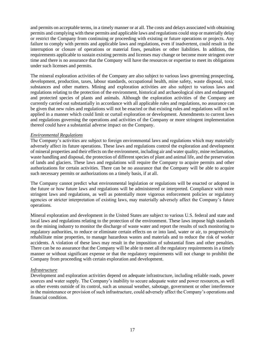and permits on acceptable terms, in a timely manner or at all. The costs and delays associated with obtaining permits and complying with these permits and applicable laws and regulations could stop or materially delay or restrict the Company from continuing or proceeding with existing or future operations or projects. Any failure to comply with permits and applicable laws and regulations, even if inadvertent, could result in the interruption or closure of operations or material fines, penalties or other liabilities. In addition, the requirements applicable to sustain existing permits and licenses may change or become more stringent over time and there is no assurance that the Company will have the resources or expertise to meet its obligations under such licenses and permits.

The mineral exploration activities of the Company are also subject to various laws governing prospecting, development, production, taxes, labour standards, occupational health, mine safety, waste disposal, toxic substances and other matters. Mining and exploration activities are also subject to various laws and regulations relating to the protection of the environment, historical and archaeological sites and endangered and protected species of plants and animals. Although the exploration activities of the Company are currently carried out substantially in accordance with all applicable rules and regulations, no assurance can be given that new rules and regulations will not be enacted or that existing rules and regulations will not be applied in a manner which could limit or curtail exploration or development. Amendments to current laws and regulations governing the operations and activities of the Company or more stringent implementation thereof could have a substantial adverse impact on the Company.

## *Environmental Regulations*

The Company's activities are subject to foreign environmental laws and regulations which may materially adversely affect its future operations. These laws and regulations control the exploration and development of mineral properties and their effects on the environment, including air and water quality, mine reclamation, waste handling and disposal, the protection of different species of plant and animal life, and the preservation of lands and glaciers. These laws and regulations will require the Company to acquire permits and other authorizations for certain activities. There can be no assurance that the Company will be able to acquire such necessary permits or authorizations on a timely basis, if at all.

The Company cannot predict what environmental legislation or regulations will be enacted or adopted in the future or how future laws and regulations will be administered or interpreted. Compliance with more stringent laws and regulations, as well as potentially more vigorous enforcement policies or regulatory agencies or stricter interpretation of existing laws, may materially adversely affect the Company's future operations.

Mineral exploration and development in the United States are subject to various U.S. federal and state and local laws and regulations relating to the protection of the environment. These laws impose high standards on the mining industry to monitor the discharge of waste water and report the results of such monitoring to regulatory authorities, to reduce or eliminate certain effects on or into land, water or air, to progressively rehabilitate mine properties, to manage hazardous wastes and materials and to reduce the risk of worker accidents. A violation of these laws may result in the imposition of substantial fines and other penalties. There can be no assurance that the Company will be able to meet all the regulatory requirements in a timely manner or without significant expense or that the regulatory requirements will not change to prohibit the Company from proceeding with certain exploration and development.

## *Infrastructure*

Development and exploration activities depend on adequate infrastructure, including reliable roads, power sources and water supply. The Company's inability to secure adequate water and power resources, as well as other events outside of its control, such as unusual weather, sabotage, government or other interference in the maintenance or provision of such infrastructure, could adversely affect the Company's operations and financial condition.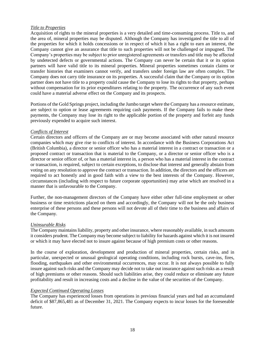## *Title to Properties*

Acquisition of rights to the mineral properties is a very detailed and time-consuming process. Title to, and the area of, mineral properties may be disputed. Although the Company has investigated the title to all of the properties for which it holds concessions or in respect of which it has a right to earn an interest, the Company cannot give an assurance that title to such properties will not be challenged or impugned. The Company's properties may be subject to prior unregistered agreements or transfers and title may be affected by undetected defects or governmental actions. The Company can never be certain that it or its option partners will have valid title to its mineral properties. Mineral properties sometimes contain claims or transfer histories that examiners cannot verify, and transfers under foreign law are often complex. The Company does not carry title insurance on its properties. A successful claim that the Company or its option partner does not have title to a property could cause the Company to lose its rights to that property, perhaps without compensation for its prior expenditures relating to the property. The occurrence of any such event could have a material adverse effect on the Company and its prospects.

Portions of the Gold Springs project, including the Jumbo target where the Company has a resource estimate, are subject to option or lease agreements requiring cash payments. If the Company fails to make these payments, the Company may lose its right to the applicable portion of the property and forfeit any funds previously expended to acquire such interest.

## *Conflicts of Interest*

Certain directors and officers of the Company are or may become associated with other natural resource companies which may give rise to conflicts of interest. In accordance with the Business Corporations Act (British Columbia), a director or senior officer who has a material interest in a contract or transaction or a proposed contract or transaction that is material to the Company, or a director or senior officer who is a director or senior officer of, or has a material interest in, a person who has a material interest in the contract or transaction, is required, subject to certain exceptions, to disclose that interest and generally abstain from voting on any resolution to approve the contract or transaction. In addition, the directors and the officers are required to act honestly and in good faith with a view to the best interests of the Company. However, circumstances (including with respect to future corporate opportunities) may arise which are resolved in a manner that is unfavourable to the Company.

Further, the non-management directors of the Company have either other full-time employment or other business or time restrictions placed on them and accordingly, the Company will not be the only business enterprise of these persons and these persons will not devote all of their time to the business and affairs of the Company.

## *Uninsurable Risks*

The Company maintains liability, property and other insurance, where reasonably available, in such amounts it considers prudent. The Company may become subject to liability for hazards against which it is not insured or which it may have elected not to insure against because of high premium costs or other reasons.

In the course of exploration, development and production of mineral properties, certain risks, and in particular, unexpected or unusual geological operating conditions, including rock bursts, cave-ins, fires, flooding, earthquakes and other environmental occurrences, may occur. It is not always possible to fully insure against such risks and the Company may decide not to take out insurance against such risks as a result of high premiums or other reasons. Should such liabilities arise, they could reduce or eliminate any future profitability and result in increasing costs and a decline in the value of the securities of the Company.

# *Expected Continued Operating Losses*

The Company has experienced losses from operations in previous financial years and had an accumulated deficit of \$87,865,481 as of December 31, 2021. The Company expects to incur losses for the foreseeable future.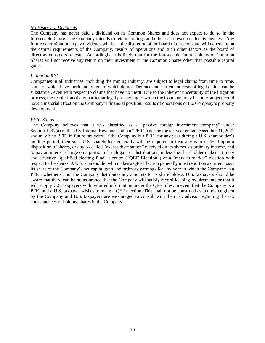### *No History of Dividends*

The Company has never paid a dividend on its Common Shares and does not expect to do so in the foreseeable future. The Company intends to retain earnings and other cash resources for its business. Any future determination to pay dividends will be at the discretion of the board of directors and will depend upon the capital requirements of the Company, results of operations and such other factors as the board of directors considers relevant. Accordingly, it is likely that for the foreseeable future holders of Common Shares will not receive any return on their investment in the Common Shares other than possible capital gains.

### *Litigation Risk*

Companies in all industries, including the mining industry, are subject to legal claims from time to time, some of which have merit and others of which do not. Defence and settlement costs of legal claims can be substantial, even with respect to claims that have no merit. Due to the inherent uncertainty of the litigation process, the resolution of any particular legal proceeding to which the Company may become subject could have a material effect on the Company's financial position, results of operations or the Company's property development.

#### *PFIC Status*

The Company believes that it was classified as a "passive foreign investment company" under Section 1297(a) of the U.S. Internal Revenue Code (a "PFIC") during the tax year ended December 31, 2021 and may be a PFIC in future tax years. If the Company is a PFIC for any year during a U.S. shareholder's holding period, then such U.S. shareholder generally will be required to treat any gain realized upon a disposition of shares, or any so-called "excess distribution" received on its shares, as ordinary income, and to pay an interest charge on a portion of such gain or distributions, unless the shareholder makes a timely and effective "qualified electing fund" election ("**QEF Election**") or a "mark-to-market" election with respect to the shares. A U.S. shareholder who makes a QEF Election generally must report on a current basis its share of the Company's net capital gain and ordinary earnings for any year in which the Company is a PFIC, whether or not the Company distributes any amounts to its shareholders. U.S. taxpayers should be aware that there can be no assurance that the Company will satisfy record-keeping requirements or that it will supply U.S. taxpayers with required information under the QEF rules, in event that the Company is a PFIC and a U.S. taxpayer wishes to make a QEF election. This shall not be construed as tax advice given by the Company and U.S. taxpayers are encouraged to consult with their tax advisor regarding the tax consequences of holding shares in the Company.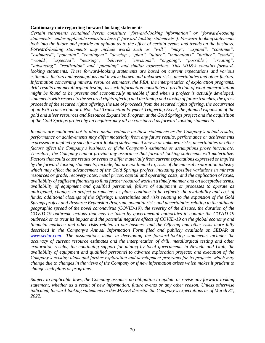#### **Cautionary note regarding forward-looking statements**

*Certain statements contained herein constitute "forward-looking information" or "forward-looking statements" under applicable securities laws ("forward-looking statements"). Forward-looking statements look into the future and provide an opinion as to the effect of certain events and trends on the business. Forward-looking statements may include words such as "will", "may", "expand", "continue", "estimated", "potential", "contingent", "develop", "plan", "future", "indications", "further", "could", "would', "expected", "nearing", "believes", "envisions", "ongoing", "possible", "creating", "advancing", "realization" and "pursuing" and similar expressions. This MD&A contains forwardlooking statements. These forward-looking statements are based on current expectations and various estimates, factors and assumptions and involve known and unknown risks, uncertainties and other factors. Information concerning mineral resource estimates, the PEA, the interpretation of exploration programs, drill results and metallurgical testing, as such information constitutes a prediction of what mineralization might be found to be present and economically mineable if and when a project is actually developed, statements with respect to the secured rights offering and the timing and closing of future tranches, the gross proceeds of the secured rights offering, the use of proceeds from the secured rights offering, the occurrence of an Exit Transaction or a Non-Exit Transaction Payment Triggering Event, the planned expansion of the gold and silver resources and Resource Expansion Program at the Gold Springs project and the acquisition of the Gold Springs project by an acquirer may all be considered as forward-looking statements.*

*Readers are cautioned not to place undue reliance on these statements as the Company's actual results, performance or achievements may differ materially from any future results, performance or achievements expressed or implied by such forward-looking statements if known or unknown risks, uncertainties or other factors affect the Company's business, or if the Company's estimates or assumptions prove inaccurate. Therefore, the Company cannot provide any assurance that forward-looking statements will materialize. Factors that could cause results or events to differ materially from current expectations expressed or implied by the forward-looking statements, include, but are not limited to, risks of the mineral exploration industry which may affect the advancement of the Gold Springs project, including possible variations in mineral resources or grade, recovery rates, metal prices, capital and operating costs, and the application of taxes, availability of sufficient financing to fund further required work in a timely manner and on acceptable terms, availability of equipment and qualified personnel, failure of equipment or processes to operate as anticipated, changes in project parameters as plans continue to be refined; the availability and cost of funds; additional closings of the Offering; uncertainties and risks relating to the expansion of the Gold Springs project and Resource Expansion Program, potential risks and uncertainties relating to the ultimate geographic spread of the novel coronavirus (COVID-19), the severity of the disease, the duration of the COVID-19 outbreak, actions that may be taken by governmental authorities to contain the COVID-19 outbreak or to treat its impact and the potential negative effects of COVID-19 on the global economy and financial markets; and other risks related to our business and the Offering and other risks more fully described in the Company's Annual Information Form filed and publicly available on SEDAR at [www.sedar.com.](about:blank) The assumptions made in developing the forward-looking statements include: the accuracy of current resource estimates and the interpretation of drill, metallurgical testing and other exploration results; the continuing support for mining by local governments in Nevada and Utah, the availability of equipment and qualified personnel to advance exploration projects; and execution of the Company's existing plans and further exploration and development programs for its projects, which may change due to changes in the views of the Company or if new information arises which makes it prudent to change such plans or programs.*

*Subject to applicable laws, the Company assumes no obligation to update or revise any forward-looking statement, whether as a result of new information, future events or any other reason. Unless otherwise indicated, forward-looking statements in this MD&A describe the Company's expectations as of March 31, 2022.*